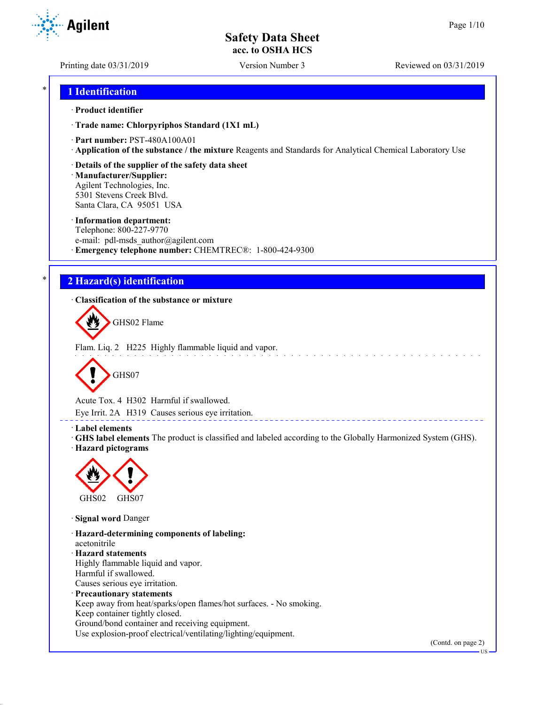Printing date 03/31/2019 Version Number 3 Reviewed on 03/31/2019

## \* **1 Identification**

#### · **Product identifier**

· **Trade name: Chlorpyriphos Standard (1X1 mL)**

· **Part number:** PST-480A100A01

· **Application of the substance / the mixture** Reagents and Standards for Analytical Chemical Laboratory Use

#### · **Details of the supplier of the safety data sheet**

· **Manufacturer/Supplier:** Agilent Technologies, Inc. 5301 Stevens Creek Blvd. Santa Clara, CA 95051 USA

#### · **Information department:**

Telephone: 800-227-9770 e-mail: pdl-msds author@agilent.com · **Emergency telephone number:** CHEMTREC®: 1-800-424-9300

## \* **2 Hazard(s) identification**

· **Classification of the substance or mixture**

GHS02 Flame

Flam. Liq. 2 H225 Highly flammable liquid and vapor.



Acute Tox. 4 H302 Harmful if swallowed.

Eye Irrit. 2A H319 Causes serious eye irritation.

#### · **Label elements**

· **GHS label elements** The product is classified and labeled according to the Globally Harmonized System (GHS). · **Hazard pictograms**

<u>. . . . . . . . . . . . . . . . . .</u>



· **Signal word** Danger

· **Hazard-determining components of labeling:** acetonitrile · **Hazard statements** Highly flammable liquid and vapor. Harmful if swallowed. Causes serious eye irritation. · **Precautionary statements** Keep away from heat/sparks/open flames/hot surfaces. - No smoking. Keep container tightly closed. Ground/bond container and receiving equipment.

Use explosion-proof electrical/ventilating/lighting/equipment.

(Contd. on page 2)

US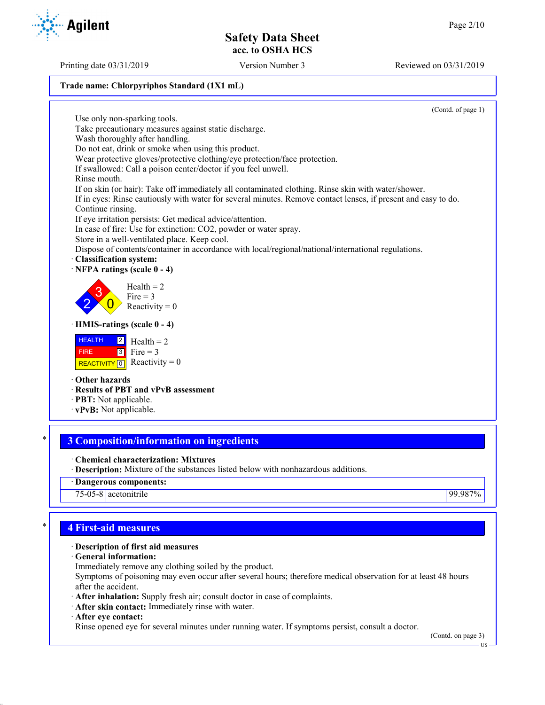Printing date 03/31/2019 Version Number 3 Reviewed on 03/31/2019

### **Trade name: Chlorpyriphos Standard (1X1 mL)**

(Contd. of page 1)

Use only non-sparking tools. Take precautionary measures against static discharge. Wash thoroughly after handling. Do not eat, drink or smoke when using this product. Wear protective gloves/protective clothing/eye protection/face protection. If swallowed: Call a poison center/doctor if you feel unwell. Rinse mouth. If on skin (or hair): Take off immediately all contaminated clothing. Rinse skin with water/shower. If in eyes: Rinse cautiously with water for several minutes. Remove contact lenses, if present and easy to do. Continue rinsing. If eye irritation persists: Get medical advice/attention. In case of fire: Use for extinction: CO2, powder or water spray. Store in a well-ventilated place. Keep cool. Dispose of contents/container in accordance with local/regional/national/international regulations. · **Classification system:** · **NFPA ratings (scale 0 - 4)** 2 3  $\overline{0}$  $Health = 2$ Fire  $= 3$ Reactivity  $= 0$ · **HMIS-ratings (scale 0 - 4) HEALTH**  FIRE REACTIVITY  $\boxed{0}$  Reactivity = 0 2 3  $Health = 2$ Fire  $= 3$ · **Other hazards** · **Results of PBT and vPvB assessment** · **PBT:** Not applicable. · **vPvB:** Not applicable.

## \* **3 Composition/information on ingredients**

· **Chemical characterization: Mixtures**

· **Description:** Mixture of the substances listed below with nonhazardous additions.

· **Dangerous components:**

75-05-8 acetonitrile 99.987%

## \* **4 First-aid measures**

### · **Description of first aid measures**

· **General information:**

Immediately remove any clothing soiled by the product.

Symptoms of poisoning may even occur after several hours; therefore medical observation for at least 48 hours after the accident.

· **After inhalation:** Supply fresh air; consult doctor in case of complaints.

· **After skin contact:** Immediately rinse with water.

· **After eye contact:**

Rinse opened eye for several minutes under running water. If symptoms persist, consult a doctor.

(Contd. on page 3)



**Agilent**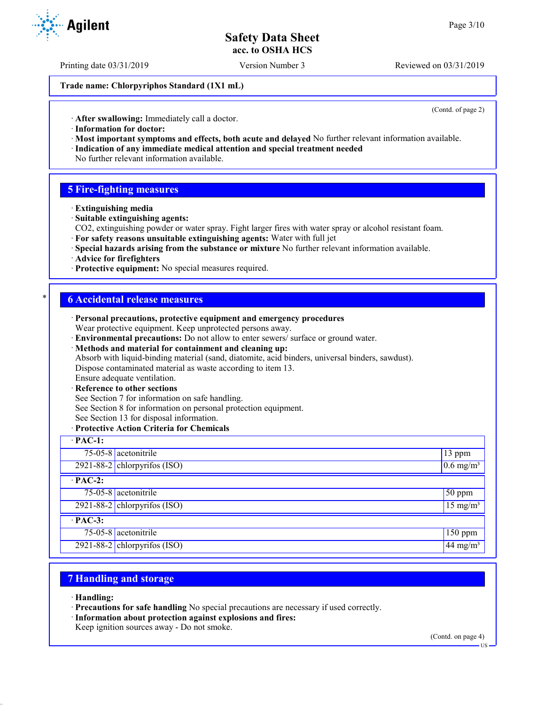Printing date 03/31/2019 Version Number 3 Reviewed on 03/31/2019

**Trade name: Chlorpyriphos Standard (1X1 mL)**

(Contd. of page 2)

· **After swallowing:** Immediately call a doctor.

- · **Information for doctor:**
- · **Most important symptoms and effects, both acute and delayed** No further relevant information available. · **Indication of any immediate medical attention and special treatment needed**
- No further relevant information available.

## **5 Fire-fighting measures**

- · **Extinguishing media**
- · **Suitable extinguishing agents:**
- CO2, extinguishing powder or water spray. Fight larger fires with water spray or alcohol resistant foam.
- · **For safety reasons unsuitable extinguishing agents:** Water with full jet
- · **Special hazards arising from the substance or mixture** No further relevant information available.
- · **Advice for firefighters**
- · **Protective equipment:** No special measures required.

### \* **6 Accidental release measures**

|                | Personal precautions, protective equipment and emergency procedures<br>Wear protective equipment. Keep unprotected persons away. |                         |
|----------------|----------------------------------------------------------------------------------------------------------------------------------|-------------------------|
|                | · Environmental precautions: Do not allow to enter sewers/ surface or ground water.                                              |                         |
|                | · Methods and material for containment and cleaning up:                                                                          |                         |
|                | Absorb with liquid-binding material (sand, diatomite, acid binders, universal binders, sawdust).                                 |                         |
|                | Dispose contaminated material as waste according to item 13.                                                                     |                         |
|                | Ensure adequate ventilation.                                                                                                     |                         |
|                | · Reference to other sections                                                                                                    |                         |
|                | See Section 7 for information on safe handling.                                                                                  |                         |
|                | See Section 8 for information on personal protection equipment.                                                                  |                         |
|                | See Section 13 for disposal information.                                                                                         |                         |
|                | · Protective Action Criteria for Chemicals                                                                                       |                         |
| $\cdot$ PAC-1: |                                                                                                                                  |                         |
|                | $75-05-8$ acetonitrile                                                                                                           | 13 ppm                  |
|                | $2921-88-2$ chlorpyrifos (ISO)                                                                                                   | $0.6$ mg/m <sup>3</sup> |
| $·$ PAC-2:     |                                                                                                                                  |                         |
|                | 75-05-8 acetonitrile                                                                                                             | 50 ppm                  |
|                | 2921-88-2 chlorpyrifos $(ISO)$                                                                                                   | $15 \text{ mg/m}^3$     |
| $·$ PAC-3:     |                                                                                                                                  |                         |
|                | $75-05-8$ acetonitrile                                                                                                           | $150$ ppm               |
|                | 2921-88-2 chlorpyrifos $(ISO)$                                                                                                   | 44 mg/m <sup>3</sup>    |

## **7 Handling and storage**

· **Handling:**

- · **Precautions for safe handling** No special precautions are necessary if used correctly.
- · **Information about protection against explosions and fires:**

Keep ignition sources away - Do not smoke.

(Contd. on page 4)

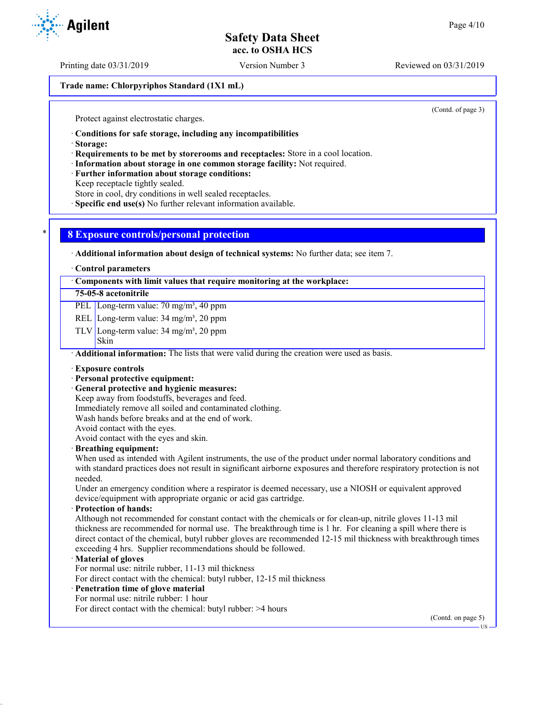Printing date 03/31/2019 Version Number 3 Reviewed on 03/31/2019

**Trade name: Chlorpyriphos Standard (1X1 mL)**

(Contd. of page 3)

Protect against electrostatic charges.

· **Conditions for safe storage, including any incompatibilities**

· **Storage:**

· **Requirements to be met by storerooms and receptacles:** Store in a cool location.

· **Information about storage in one common storage facility:** Not required.

· **Further information about storage conditions:**

Keep receptacle tightly sealed.

Store in cool, dry conditions in well sealed receptacles.

· **Specific end use(s)** No further relevant information available.

## \* **8 Exposure controls/personal protection**

· **Additional information about design of technical systems:** No further data; see item 7.

· **Control parameters**

· **Components with limit values that require monitoring at the workplace:**

### **75-05-8 acetonitrile**

PEL Long-term value: 70 mg/m<sup>3</sup>, 40 ppm

REL Long-term value: 34 mg/m<sup>3</sup>, 20 ppm

TLV Long-term value:  $34 \text{ mg/m}^3$ ,  $20 \text{ ppm}$ 

Skin

· **Additional information:** The lists that were valid during the creation were used as basis.

· **Exposure controls**

#### · **Personal protective equipment:**

· **General protective and hygienic measures:**

Keep away from foodstuffs, beverages and feed.

Immediately remove all soiled and contaminated clothing.

Wash hands before breaks and at the end of work.

Avoid contact with the eyes.

Avoid contact with the eyes and skin.

#### · **Breathing equipment:**

When used as intended with Agilent instruments, the use of the product under normal laboratory conditions and with standard practices does not result in significant airborne exposures and therefore respiratory protection is not needed.

Under an emergency condition where a respirator is deemed necessary, use a NIOSH or equivalent approved device/equipment with appropriate organic or acid gas cartridge.

· **Protection of hands:**

Although not recommended for constant contact with the chemicals or for clean-up, nitrile gloves 11-13 mil thickness are recommended for normal use. The breakthrough time is 1 hr. For cleaning a spill where there is direct contact of the chemical, butyl rubber gloves are recommended 12-15 mil thickness with breakthrough times exceeding 4 hrs. Supplier recommendations should be followed.

#### · **Material of gloves**

For normal use: nitrile rubber, 11-13 mil thickness

For direct contact with the chemical: butyl rubber, 12-15 mil thickness

## · **Penetration time of glove material**

For normal use: nitrile rubber: 1 hour For direct contact with the chemical: butyl rubber: >4 hours

(Contd. on page 5)

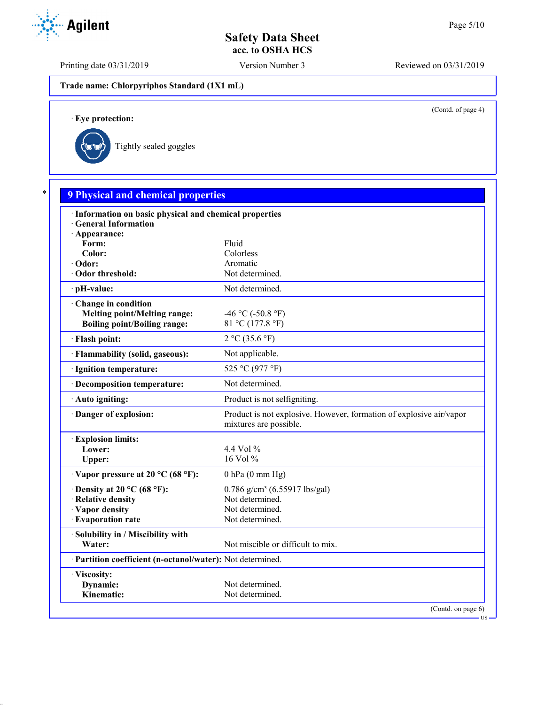Printing date 03/31/2019 Version Number 3 Reviewed on 03/31/2019

**Trade name: Chlorpyriphos Standard (1X1 mL)**

(Contd. of page 4)

US

· **Eye protection:**



| · Information on basic physical and chemical properties    |                                                                                               |  |
|------------------------------------------------------------|-----------------------------------------------------------------------------------------------|--|
| <b>General Information</b>                                 |                                                                                               |  |
| · Appearance:<br>Form:                                     | Fluid                                                                                         |  |
| Color:                                                     | Colorless                                                                                     |  |
| · Odor:                                                    | Aromatic                                                                                      |  |
| Odor threshold:                                            | Not determined.                                                                               |  |
| · pH-value:                                                | Not determined.                                                                               |  |
| Change in condition                                        |                                                                                               |  |
| <b>Melting point/Melting range:</b>                        | -46 °C (-50.8 °F)                                                                             |  |
| <b>Boiling point/Boiling range:</b>                        | 81 °C (177.8 °F)                                                                              |  |
| · Flash point:                                             | 2 °C (35.6 °F)                                                                                |  |
| · Flammability (solid, gaseous):                           | Not applicable.                                                                               |  |
| · Ignition temperature:                                    | 525 °C (977 °F)                                                                               |  |
| · Decomposition temperature:                               | Not determined.                                                                               |  |
| · Auto igniting:                                           | Product is not selfigniting.                                                                  |  |
| Danger of explosion:                                       | Product is not explosive. However, formation of explosive air/vapor<br>mixtures are possible. |  |
| <b>Explosion limits:</b>                                   |                                                                                               |  |
| Lower:                                                     | 4.4 Vol %                                                                                     |  |
| Upper:                                                     | 16 Vol %                                                                                      |  |
| $\cdot$ Vapor pressure at 20 °C (68 °F):                   | $0$ hPa $(0$ mm Hg)                                                                           |  |
| $\cdot$ Density at 20 °C (68 °F):                          | $0.786$ g/cm <sup>3</sup> (6.55917 lbs/gal)                                                   |  |
| · Relative density                                         | Not determined.                                                                               |  |
| · Vapor density                                            | Not determined.                                                                               |  |
| · Evaporation rate                                         | Not determined.                                                                               |  |
| · Solubility in / Miscibility with                         |                                                                                               |  |
| Water:                                                     | Not miscible or difficult to mix.                                                             |  |
| · Partition coefficient (n-octanol/water): Not determined. |                                                                                               |  |
| · Viscosity:                                               |                                                                                               |  |
| Dynamic:                                                   | Not determined.                                                                               |  |

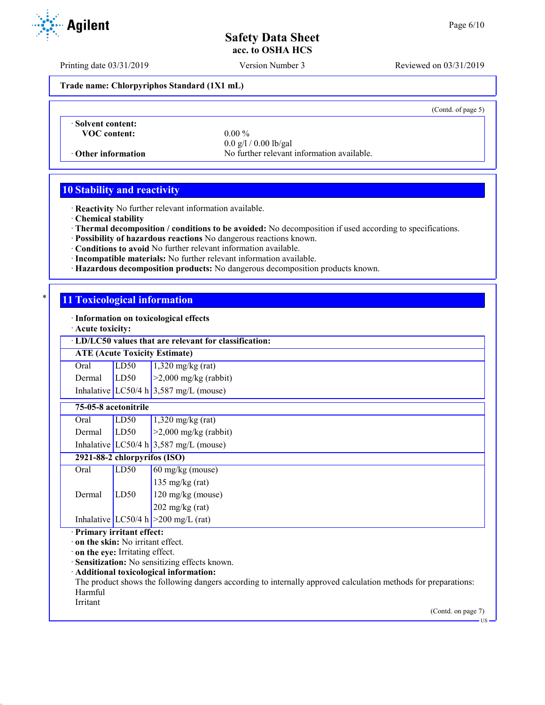Printing date 03/31/2019 Version Number 3 Reviewed on 03/31/2019

**Trade name: Chlorpyriphos Standard (1X1 mL)**

(Contd. of page 5)

· **Solvent content: VOC content:** 0.00 %

0.0 g/l / 0.00 lb/gal · **Other information** No further relevant information available.

## **10 Stability and reactivity**

· **Reactivity** No further relevant information available.

· **Chemical stability**

- · **Thermal decomposition / conditions to be avoided:** No decomposition if used according to specifications.
- · **Possibility of hazardous reactions** No dangerous reactions known.
- · **Conditions to avoid** No further relevant information available.
- · **Incompatible materials:** No further relevant information available.
- · **Hazardous decomposition products:** No dangerous decomposition products known.

### \* **11 Toxicological information**

· **Information on toxicological effects**

· **Acute toxicity:**

· **LD/LC50 values that are relevant for classification:**

**ATE (Acute Toxicity Estimate)**

| Oral   | LD50 | $1,320$ mg/kg (rat)                      |
|--------|------|------------------------------------------|
| Dermal | LD50 | $\geq$ 2,000 mg/kg (rabbit)              |
|        |      | Inhalative LC50/4 h $3,587$ mg/L (mouse) |

|      | 75-05-8 acetonitrile |                     |
|------|----------------------|---------------------|
| Oral | LD50                 | $1,320$ mg/kg (rat) |

Dermal  $\vert$  LD50  $\vert$  >2,000 mg/kg (rabbit) Inhalative LC50/4 h  $3,587$  mg/L (mouse)

# **2921-88-2 chlorpyrifos (ISO)**

| Oral   | LD50 | $\vert$ 60 mg/kg (mouse)              |
|--------|------|---------------------------------------|
|        |      | 135 mg/kg $(rat)$                     |
| Dermal | LD50 | $120$ mg/kg (mouse)                   |
|        |      | $202$ mg/kg (rat)                     |
|        |      | Inhalative LC50/4 h $>200$ mg/L (rat) |

### · **Primary irritant effect:**

· **on the skin:** No irritant effect.

· **on the eye:** Irritating effect.

· **Sensitization:** No sensitizing effects known.

· **Additional toxicological information:**

The product shows the following dangers according to internally approved calculation methods for preparations: Harmful

Irritant

(Contd. on page 7)

**Agilent**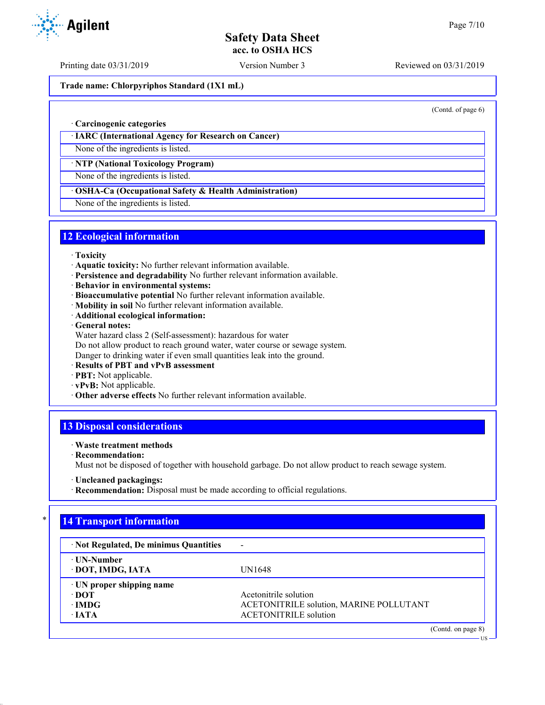Printing date 03/31/2019 Version Number 3 Reviewed on 03/31/2019

**Trade name: Chlorpyriphos Standard (1X1 mL)**

(Contd. of page 6)

US

#### · **Carcinogenic categories**

· **IARC (International Agency for Research on Cancer)**

None of the ingredients is listed.

#### · **NTP (National Toxicology Program)**

None of the ingredients is listed.

## · **OSHA-Ca (Occupational Safety & Health Administration)**

None of the ingredients is listed.

## **12 Ecological information**

- · **Toxicity**
- · **Aquatic toxicity:** No further relevant information available.
- · **Persistence and degradability** No further relevant information available.
- · **Behavior in environmental systems:**
- · **Bioaccumulative potential** No further relevant information available.
- · **Mobility in soil** No further relevant information available.
- · **Additional ecological information:**
- · **General notes:**
- Water hazard class 2 (Self-assessment): hazardous for water
- Do not allow product to reach ground water, water course or sewage system.

Danger to drinking water if even small quantities leak into the ground.

- · **Results of PBT and vPvB assessment**
- · **PBT:** Not applicable.
- · **vPvB:** Not applicable.
- · **Other adverse effects** No further relevant information available.

## **13 Disposal considerations**

#### · **Waste treatment methods**

· **Recommendation:**

Must not be disposed of together with household garbage. Do not allow product to reach sewage system.

· **Recommendation:** Disposal must be made according to official regulations.

# \* **14 Transport information**

| · Not Regulated, De minimus Quantities |                                         |
|----------------------------------------|-----------------------------------------|
| ⋅ UN-Number                            |                                         |
| · DOT, IMDG, IATA                      | UN1648                                  |
| $\cdot$ UN proper shipping name        |                                         |
| ∙ DOT                                  | Acetonitrile solution                   |
| ∙IMDG                                  | ACETONITRILE solution, MARINE POLLUTANT |
| $\cdot$ JATA                           | <b>ACETONITRILE</b> solution            |
|                                        | (Contd. on page 8)                      |



<sup>·</sup> **Uncleaned packagings:**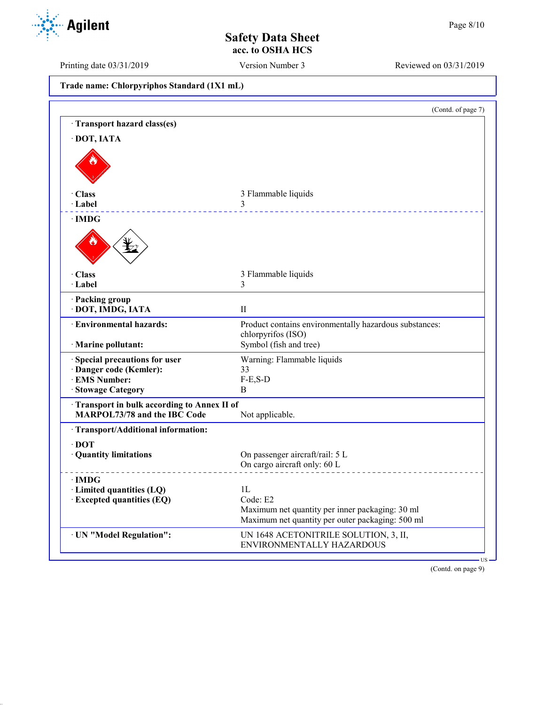Printing date 03/31/2019 Version Number 3 Reviewed on 03/31/2019

| Trade name: Chlorpyriphos Standard (1X1 mL) |  |
|---------------------------------------------|--|
|---------------------------------------------|--|

|                                                                                   | (Contd. of page 7)                                                                                  |
|-----------------------------------------------------------------------------------|-----------------------------------------------------------------------------------------------------|
| Transport hazard class(es)                                                        |                                                                                                     |
| · DOT, IATA                                                                       |                                                                                                     |
|                                                                                   |                                                                                                     |
| · Class                                                                           | 3 Flammable liquids                                                                                 |
| · Label                                                                           | 3                                                                                                   |
| ∙IMDG                                                                             |                                                                                                     |
|                                                                                   |                                                                                                     |
| · Class                                                                           | 3 Flammable liquids                                                                                 |
| · Label                                                                           | 3                                                                                                   |
| · Packing group<br>· DOT, IMDG, IATA                                              | $_{\rm II}$                                                                                         |
| <b>Environmental hazards:</b>                                                     | Product contains environmentally hazardous substances:<br>chlorpyrifos (ISO)                        |
| · Marine pollutant:                                                               | Symbol (fish and tree)                                                                              |
| · Special precautions for user                                                    | Warning: Flammable liquids                                                                          |
| · Danger code (Kemler):                                                           | 33                                                                                                  |
| <b>EMS Number:</b>                                                                | $F-E,S-D$                                                                                           |
| · Stowage Category                                                                | B                                                                                                   |
| Transport in bulk according to Annex II of<br><b>MARPOL73/78 and the IBC Code</b> | Not applicable.                                                                                     |
| · Transport/Additional information:                                               |                                                                                                     |
| $\cdot$ DOT                                                                       |                                                                                                     |
| · Quantity limitations                                                            | On passenger aircraft/rail: 5 L<br>On cargo aircraft only: 60 L                                     |
| $\cdot$ IMDG                                                                      |                                                                                                     |
| · Limited quantities (LQ)                                                         | 1 <sub>L</sub>                                                                                      |
| <b>Excepted quantities (EQ)</b>                                                   | Code: E2                                                                                            |
|                                                                                   | Maximum net quantity per inner packaging: 30 ml<br>Maximum net quantity per outer packaging: 500 ml |
| · UN "Model Regulation":                                                          | UN 1648 ACETONITRILE SOLUTION, 3, II,<br>ENVIRONMENTALLY HAZARDOUS                                  |
|                                                                                   |                                                                                                     |

(Contd. on page 9)

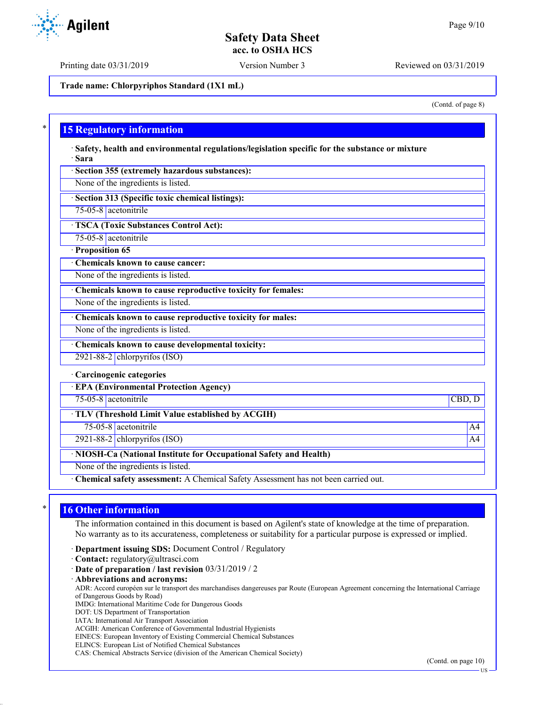Printing date 03/31/2019 Version Number 3 Reviewed on 03/31/2019

**Trade name: Chlorpyriphos Standard (1X1 mL)**

(Contd. of page 8)

## **15 Regulatory information**

· **Safety, health and environmental regulations/legislation specific for the substance or mixture** · **Sara**

· **Section 355 (extremely hazardous substances):**

None of the ingredients is listed.

· **Section 313 (Specific toxic chemical listings):**

75-05-8 acetonitrile

· **TSCA (Toxic Substances Control Act):**

75-05-8 acetonitrile

· **Proposition 65**

· **Chemicals known to cause cancer:**

None of the ingredients is listed.

· **Chemicals known to cause reproductive toxicity for females:**

None of the ingredients is listed.

· **Chemicals known to cause reproductive toxicity for males:**

None of the ingredients is listed.

· **Chemicals known to cause developmental toxicity:**

2921-88-2 chlorpyrifos (ISO)

· **Carcinogenic categories**

· **EPA (Environmental Protection Agency)**

75-05-8 acetonitrile CBD, D

· **TLV (Threshold Limit Value established by ACGIH)**

75-05-8 acetonitrile A4

2921-88-2 chlorpyrifos (ISO) and the set of the set of the set of the set of the set of the set of the set of the set of the set of the set of the set of the set of the set of the set of the set of the set of the set of th

· **NIOSH-Ca (National Institute for Occupational Safety and Health)**

None of the ingredients is listed.

· **Chemical safety assessment:** A Chemical Safety Assessment has not been carried out.

## **16 Other information**

The information contained in this document is based on Agilent's state of knowledge at the time of preparation. No warranty as to its accurateness, completeness or suitability for a particular purpose is expressed or implied.

· **Department issuing SDS:** Document Control / Regulatory

· **Contact:** regulatory@ultrasci.com

· **Date of preparation / last revision** 03/31/2019 / 2

· **Abbreviations and acronyms:**

ADR: Accord européen sur le transport des marchandises dangereuses par Route (European Agreement concerning the International Carriage of Dangerous Goods by Road)

IMDG: International Maritime Code for Dangerous Goods

DOT: US Department of Transportation

IATA: International Air Transport Association

ACGIH: American Conference of Governmental Industrial Hygienists

EINECS: European Inventory of Existing Commercial Chemical Substances

ELINCS: European List of Notified Chemical Substances CAS: Chemical Abstracts Service (division of the American Chemical Society)

(Contd. on page 10)